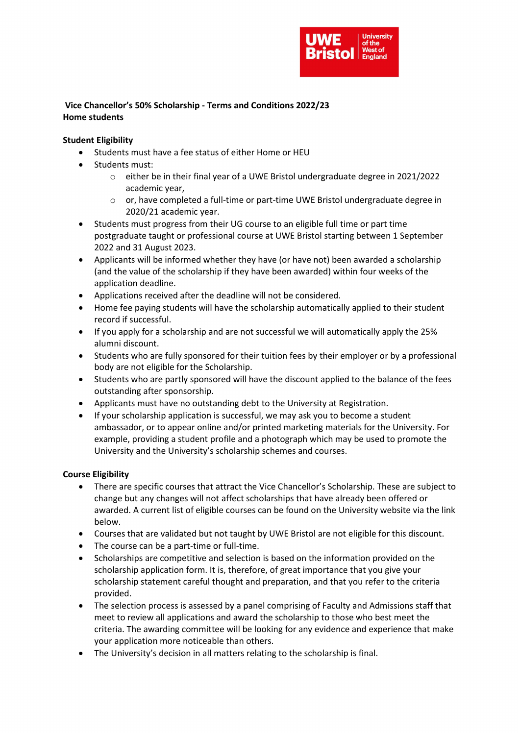

# Vice Chancellor's 50% Scholarship - Terms and Conditions 2022/23 Home students

## Student Eligibility

- Students must have a fee status of either Home or HEU
- Students must:
	- o either be in their final year of a UWE Bristol undergraduate degree in 2021/2022 academic year,
	- o or, have completed a full-time or part-time UWE Bristol undergraduate degree in 2020/21 academic year.
- Students must progress from their UG course to an eligible full time or part time postgraduate taught or professional course at UWE Bristol starting between 1 September 2022 and 31 August 2023.
- Applicants will be informed whether they have (or have not) been awarded a scholarship (and the value of the scholarship if they have been awarded) within four weeks of the application deadline.
- Applications received after the deadline will not be considered.
- Home fee paying students will have the scholarship automatically applied to their student record if successful.
- If you apply for a scholarship and are not successful we will automatically apply the 25% alumni discount.
- Students who are fully sponsored for their tuition fees by their employer or by a professional body are not eligible for the Scholarship.
- Students who are partly sponsored will have the discount applied to the balance of the fees outstanding after sponsorship.
- Applicants must have no outstanding debt to the University at Registration.
- If your scholarship application is successful, we may ask you to become a student ambassador, or to appear online and/or printed marketing materials for the University. For example, providing a student profile and a photograph which may be used to promote the University and the University's scholarship schemes and courses.

## Course Eligibility

- There are specific courses that attract the Vice Chancellor's Scholarship. These are subject to change but any changes will not affect scholarships that have already been offered or awarded. A current list of eligible courses can be found on the University website via the link below.
- Courses that are validated but not taught by UWE Bristol are not eligible for this discount.
- The course can be a part-time or full-time.
- Scholarships are competitive and selection is based on the information provided on the scholarship application form. It is, therefore, of great importance that you give your scholarship statement careful thought and preparation, and that you refer to the criteria provided.
- The selection process is assessed by a panel comprising of Faculty and Admissions staff that meet to review all applications and award the scholarship to those who best meet the criteria. The awarding committee will be looking for any evidence and experience that make your application more noticeable than others.
- The University's decision in all matters relating to the scholarship is final.